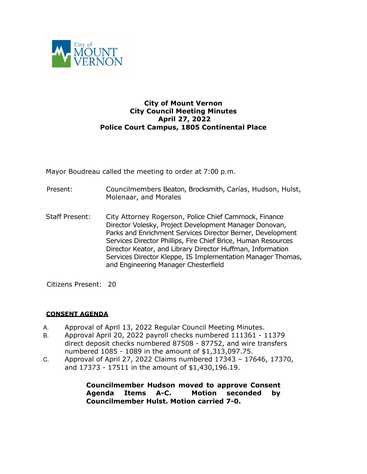

### **City of Mount Vernon City Council Meeting Minutes April 27, 2022 Police Court Campus, 1805 Continental Place**

Mayor Boudreau called the meeting to order at 7:00 p.m.

- Present: Councilmembers Beaton, Brocksmith, Carías, Hudson, Hulst, Molenaar, and Morales
- Staff Present: City Attorney Rogerson, Police Chief Cammock, Finance Director Volesky, Project Development Manager Donovan, Parks and Enrichment Services Director Berner, Development Services Director Phillips, Fire Chief Brice, Human Resources Director Keator, and Library Director Huffman, Information Services Director Kleppe, IS Implementation Manager Thomas, and Engineering Manager Chesterfield

Citizens Present: 20

# **CONSENT AGENDA**

- A. Approval of April 13, 2022 Regular Council Meeting Minutes.
- B. Approval April 20, 2022 payroll checks numbered 111361 11379 direct deposit checks numbered 87508 - 87752, and wire transfers numbered 1085 - 1089 in the amount of \$1,313,097.75.
- C. Approval of April 27, 2022 Claims numbered 17343 17646, 17370, and 17373 - 17511 in the amount of \$1,430,196.19.

**Councilmember Hudson moved to approve Consent Agenda Items A-C. Motion seconded by Councilmember Hulst. Motion carried 7-0.**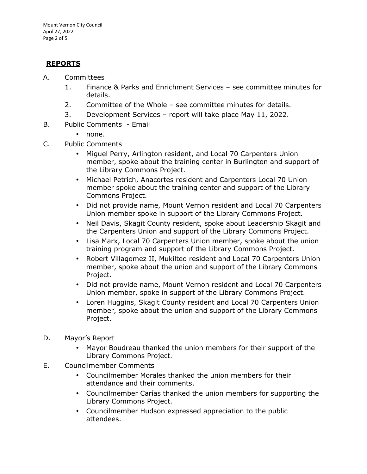#### **REPORTS**

- A. Committees
	- 1. Finance & Parks and Enrichment Services see committee minutes for details.
	- 2. Committee of the Whole see committee minutes for details.
	- 3. Development Services report will take place May 11, 2022.
- B. Public Comments Email
	- none.
- C. Public Comments
	- Miguel Perry, Arlington resident, and Local 70 Carpenters Union member, spoke about the training center in Burlington and support of the Library Commons Project.
	- Michael Petrich, Anacortes resident and Carpenters Local 70 Union member spoke about the training center and support of the Library Commons Project.
	- Did not provide name, Mount Vernon resident and Local 70 Carpenters Union member spoke in support of the Library Commons Project.
	- Neil Davis, Skagit County resident, spoke about Leadership Skagit and the Carpenters Union and support of the Library Commons Project.
	- Lisa Marx, Local 70 Carpenters Union member, spoke about the union training program and support of the Library Commons Project.
	- Robert Villagomez II, Mukilteo resident and Local 70 Carpenters Union member, spoke about the union and support of the Library Commons Project.
	- Did not provide name, Mount Vernon resident and Local 70 Carpenters Union member, spoke in support of the Library Commons Project.
	- Loren Huggins, Skagit County resident and Local 70 Carpenters Union member, spoke about the union and support of the Library Commons Project.
- D. Mayor's Report
	- Mayor Boudreau thanked the union members for their support of the Library Commons Project.
- E. Councilmember Comments
	- Councilmember Morales thanked the union members for their attendance and their comments.
	- Councilmember Carías thanked the union members for supporting the Library Commons Project.
	- Councilmember Hudson expressed appreciation to the public attendees.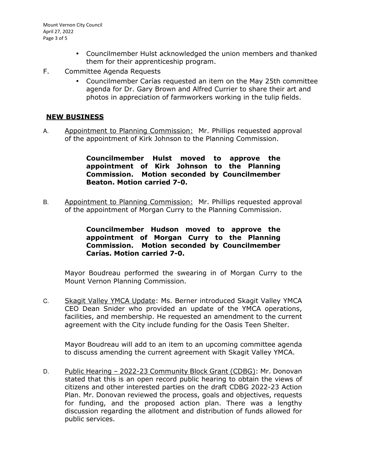- Councilmember Hulst acknowledged the union members and thanked them for their apprenticeship program.
- F. Committee Agenda Requests
	- Councilmember Carías requested an item on the May 25th committee agenda for Dr. Gary Brown and Alfred Currier to share their art and photos in appreciation of farmworkers working in the tulip fields.

# **NEW BUSINESS**

A. Appointment to Planning Commission: Mr. Phillips requested approval of the appointment of Kirk Johnson to the Planning Commission.

## **Councilmember Hulst moved to approve the appointment of Kirk Johnson to the Planning Commission. Motion seconded by Councilmember Beaton. Motion carried 7-0.**

B. Appointment to Planning Commission: Mr. Phillips requested approval of the appointment of Morgan Curry to the Planning Commission.

### **Councilmember Hudson moved to approve the appointment of Morgan Curry to the Planning Commission. Motion seconded by Councilmember Carías. Motion carried 7-0.**

Mayor Boudreau performed the swearing in of Morgan Curry to the Mount Vernon Planning Commission.

C. Skagit Valley YMCA Update: Ms. Berner introduced Skagit Valley YMCA CEO Dean Snider who provided an update of the YMCA operations, facilities, and membership. He requested an amendment to the current agreement with the City include funding for the Oasis Teen Shelter.

Mayor Boudreau will add to an item to an upcoming committee agenda to discuss amending the current agreement with Skagit Valley YMCA.

D. Public Hearing – 2022-23 Community Block Grant (CDBG): Mr. Donovan stated that this is an open record public hearing to obtain the views of citizens and other interested parties on the draft CDBG 2022-23 Action Plan. Mr. Donovan reviewed the process, goals and objectives, requests for funding, and the proposed action plan. There was a lengthy discussion regarding the allotment and distribution of funds allowed for public services.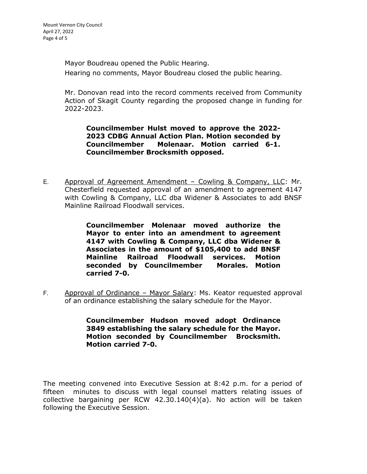Mayor Boudreau opened the Public Hearing. Hearing no comments, Mayor Boudreau closed the public hearing.

Mr. Donovan read into the record comments received from Community Action of Skagit County regarding the proposed change in funding for 2022-2023.

**Councilmember Hulst moved to approve the 2022- 2023 CDBG Annual Action Plan. Motion seconded by Councilmember Molenaar. Motion carried 6-1. Councilmember Brocksmith opposed.** 

E. Approval of Agreement Amendment – Cowling & Company, LLC: Mr. Chesterfield requested approval of an amendment to agreement 4147 with Cowling & Company, LLC dba Widener & Associates to add BNSF Mainline Railroad Floodwall services.

> **Councilmember Molenaar moved authorize the Mayor to enter into an amendment to agreement 4147 with Cowling & Company, LLC dba Widener & Associates in the amount of \$105,400 to add BNSF Mainline Railroad Floodwall services. Motion seconded by Councilmember Morales. Motion carried 7-0.**

F. Approval of Ordinance - Mayor Salary: Ms. Keator requested approval of an ordinance establishing the salary schedule for the Mayor.

> **Councilmember Hudson moved adopt Ordinance 3849 establishing the salary schedule for the Mayor. Motion seconded by Councilmember Brocksmith. Motion carried 7-0.**

The meeting convened into Executive Session at 8:42 p.m. for a period of fifteen minutes to discuss with legal counsel matters relating issues of collective bargaining per RCW 42.30.140(4)(a). No action will be taken following the Executive Session.